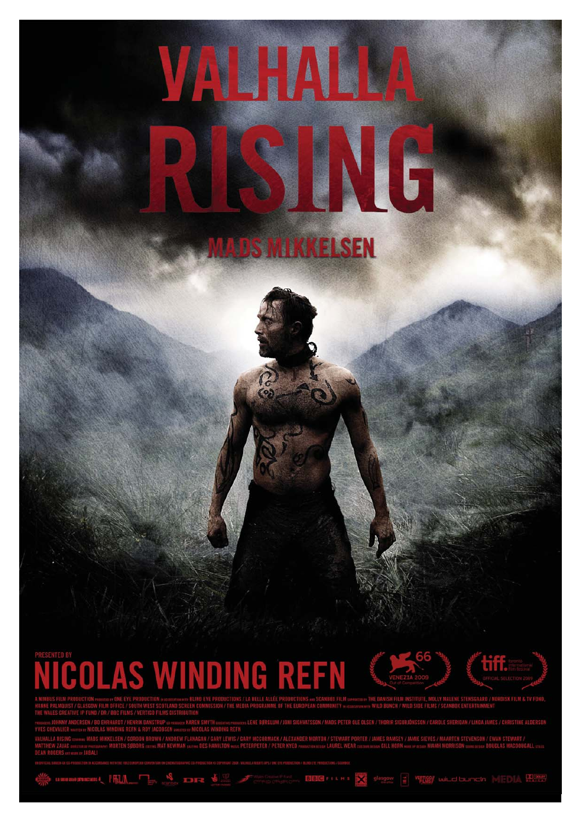# VALHALLA NG **MADS MIKKELSEN**

# **NICOLAS WINDING REFN**

 $P$   $\blacksquare$   $\blacksquare$   $\blacksquare$ 



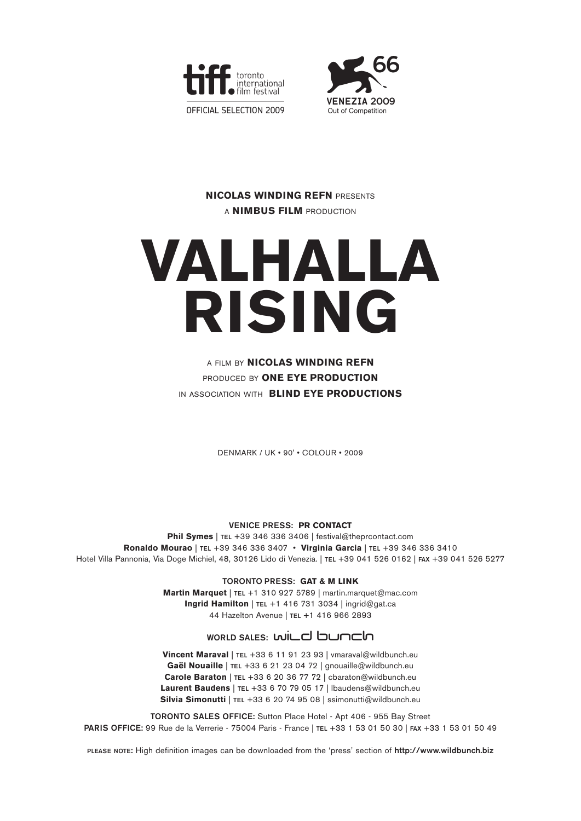



### **NICOLAS WINDING REFN** PRESENTS A **NIMBUS FILM** PRODUCTION

# **VALHALLA RISING**

### A FILM BY **NICOLAS WINDING REFN** PRODUCED BY **ONE EYE PRODUCTION** IN ASSOCIATION WITH **BLIND EYE PRODUCTIONS**

DENMARK / UK • 90' • COLOUR • 2009

**VENICE PRESS: PR CONTACT**

**Phil Symes** | **TEL** +39 346 336 3406 | festival@theprcontact.com **Ronaldo Mourao** | **TEL** +39 346 336 3407 • **Virginia Garcia** | **TEL** +39 346 336 3410 Hotel Villa Pannonia, Via Doge Michiel, 48, 30126 Lido di Venezia. | **TEL** +39 041 526 0162 | **FAX** +39 041 526 5277

> **TORONTO PRESS: GAT & M LINK Martin Marquet** | **TEL** +1 310 927 5789 | martin.marquet@mac.com **Ingrid Hamilton** | **TEL** +1 416 731 3034 | ingrid@gat.ca 44 Hazelton Avenue | **TEL** +1 416 966 2893

## WORLD SALES: WILC **bunch**

**Vincent Maraval** | **TEL** +33 6 11 91 23 93 | vmaraval@wildbunch.eu **Gaël Nouaille** | **TEL** +33 6 21 23 04 72 | gnouaille@wildbunch.eu **Carole Baraton** | **TEL** +33 6 20 36 77 72 | cbaraton@wildbunch.eu **Laurent Baudens** | **TEL** +33 6 70 79 05 17 | lbaudens@wildbunch.eu **Silvia Simonutti** | **TEL** +33 6 20 74 95 08 | ssimonutti@wildbunch.eu

**TORONTO SALES OFFICE:** Sutton Place Hotel - Apt 406 - 955 Bay Street **PARIS OFFICE:** 99 Rue de la Verrerie - 75004 Paris - France | **TEL** +33 1 53 01 50 30 | **FAX** +33 1 53 01 50 49

**PLEASE NOTE:** High definition images can be downloaded from the 'press' section of **http://www.wildbunch.biz**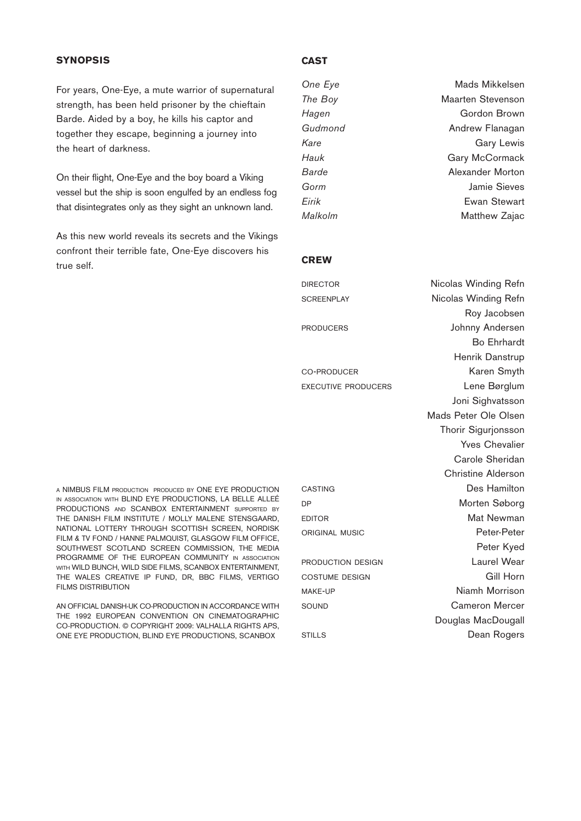#### **SYNOPSIS**

For years, One-Eye, a mute warrior of supernatural strength, has been held prisoner by the chieftain Barde. Aided by a boy, he kills his captor and together they escape, beginning a journey into the heart of darkness.

On their flight, One-Eye and the boy board a Viking vessel but the ship is soon engulfed by an endless fog that disintegrates only as they sight an unknown land.

As this new world reveals its secrets and the Vikings confront their terrible fate, One-Eye discovers his true self.

#### A NIMBUS FILM PRODUCTION PRODUCED BY ONE EYE PRODUCTION IN ASSOCIATION WITH BLIND EYE PRODUCTIONS, LA BELLE ALLEÉ PRODUCTIONS AND SCANBOX ENTERTAINMENT SUPPORTED BY THE DANISH FILM INSTITUTE / MOLLY MALENE STENSGAARD, NATIONAL LOTTERY THROUGH SCOTTISH SCREEN, NORDISK FILM & TV FOND / HANNE PALMQUIST, GLASGOW FILM OFFICE, SOUTHWEST SCOTLAND SCREEN COMMISSION, THE MEDIA PROGRAMME OF THE EUROPEAN COMMUNITY IN ASSOCIATION WITH WILD BUNCH, WILD SIDE FILMS, SCANBOX ENTERTAINMENT. THE WALES CREATIVE IP FUND, DR, BBC FILMS, VERTIGO FILMS DISTRIBUTION

AN OFFICIAL DANISH-UK CO-PRODUCTION IN ACCORDANCE WITH THE 1992 EUROPEAN CONVENTION ON CINEMATOGRAPHIC CO-PRODUCTION. © COPYRIGHT 2009: VALHALLA RIGHTS APS, ONE EYE PRODUCTION, BLIND EYE PRODUCTIONS, SCANBOX

#### **CAST**

| One Eye | Mads Mikkelsen           |
|---------|--------------------------|
| The Boy | <b>Maarten Stevenson</b> |
| Hagen   | Gordon Brown             |
| Gudmond | Andrew Flanagan          |
| Kare    | Gary Lewis               |
| Hauk    | Gary McCormack           |
| Barde   | Alexander Morton         |
| Gorm    | <b>Jamie Sieves</b>      |
| Eirik   | <b>Ewan Stewart</b>      |
| Malkolm | Matthew Zajac            |

#### **CREW**

| <b>DIRECTOR</b>   | Nicolas Winding Refn |
|-------------------|----------------------|
| <b>SCREENPLAY</b> | Nicolas Winding Refn |
|                   | Roy Jacobsen         |
| <b>PRODUCERS</b>  | Johnny Andersen      |
|                   | Bo Ehrhardt          |
|                   | Henrik Danstrup      |
|                   |                      |

Roy Jacobsen Bo Ehrhardt Henrik Danstrup CO-PRODUCER Karen Smyth EXECUTIVE PRODUCERS Lene Børglum Joni Sighvatsson Mads Peter Ole Olsen Thorir Sigurjonsson Yves Chevalier Carole Sheridan Christine Alderson CASTING Des Hamilton DP Morten Søborg EDITOR Mat Newman ORIGINAL MUSIC **Peter-Peter** Peter Kyed **PRODUCTION DESIGN Laurel Wear** COSTUME DESIGN Gill Horn MAKE-UP Niamh Morrison SOUND Cameron Mercer Douglas MacDougall STILLS Dean Rogers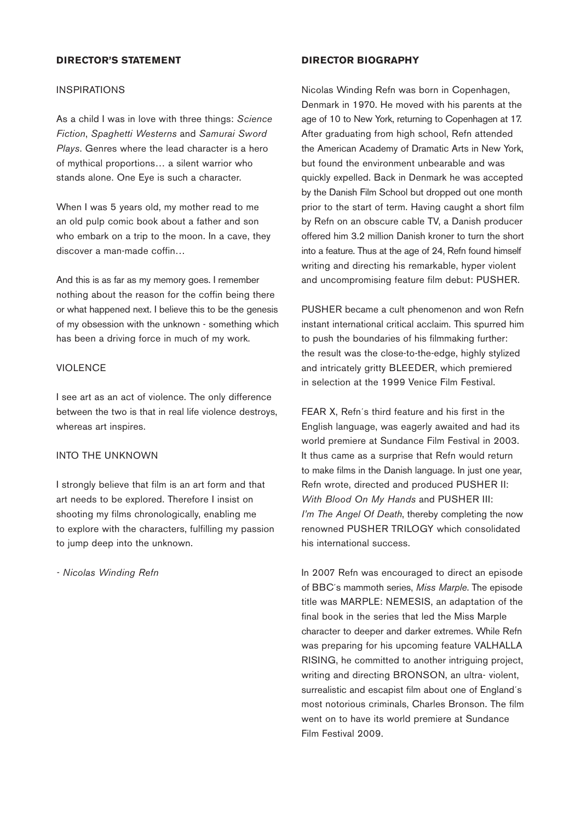#### **DIRECTOR'S STATEMENT**

#### INSPIRATIONS

As a child I was in love with three things: *Science Fiction*, *Spaghetti Westerns* and *Samurai Sword Plays*. Genres where the lead character is a hero of mythical proportions… a silent warrior who stands alone. One Eye is such a character.

When I was 5 years old, my mother read to me an old pulp comic book about a father and son who embark on a trip to the moon. In a cave, they discover a man-made coffin…

And this is as far as my memory goes. I remember nothing about the reason for the coffin being there or what happened next. I believe this to be the genesis of my obsession with the unknown - something which has been a driving force in much of my work.

#### **VIOLENCE**

I see art as an act of violence. The only difference between the two is that in real life violence destroys, whereas art inspires.

#### INTO THE UNKNOWN

I strongly believe that film is an art form and that art needs to be explored. Therefore I insist on shooting my films chronologically, enabling me to explore with the characters, fulfilling my passion to jump deep into the unknown.

*- Nicolas Winding Refn*

#### **DIRECTOR BIOGRAPHY**

Nicolas Winding Refn was born in Copenhagen, Denmark in 1970. He moved with his parents at the age of 10 to New York, returning to Copenhagen at 17. After graduating from high school, Refn attended the American Academy of Dramatic Arts in New York, but found the environment unbearable and was quickly expelled. Back in Denmark he was accepted by the Danish Film School but dropped out one month prior to the start of term. Having caught a short film by Refn on an obscure cable TV, a Danish producer offered him 3.2 million Danish kroner to turn the short into a feature. Thus at the age of 24, Refn found himself writing and directing his remarkable, hyper violent and uncompromising feature film debut: PUSHER.

PUSHER became a cult phenomenon and won Refn instant international critical acclaim. This spurred him to push the boundaries of his filmmaking further: the result was the close-to-the-edge, highly stylized and intricately gritty BLEEDER, which premiered in selection at the 1999 Venice Film Festival.

FEAR X, Refn´s third feature and his first in the English language, was eagerly awaited and had its world premiere at Sundance Film Festival in 2003. It thus came as a surprise that Refn would return to make films in the Danish language. In just one year, Refn wrote, directed and produced PUSHER II: *With Blood On My Hands* and PUSHER III: *I'm The Angel Of Death*, thereby completing the now renowned PUSHER TRILOGY which consolidated his international success.

In 2007 Refn was encouraged to direct an episode of BBC´s mammoth series, *Miss Marple*. The episode title was MARPLE: NEMESIS, an adaptation of the final book in the series that led the Miss Marple character to deeper and darker extremes. While Refn was preparing for his upcoming feature VALHALLA RISING, he committed to another intriguing project, writing and directing BRONSON, an ultra- violent, surrealistic and escapist film about one of England´s most notorious criminals, Charles Bronson. The film went on to have its world premiere at Sundance Film Festival 2009.